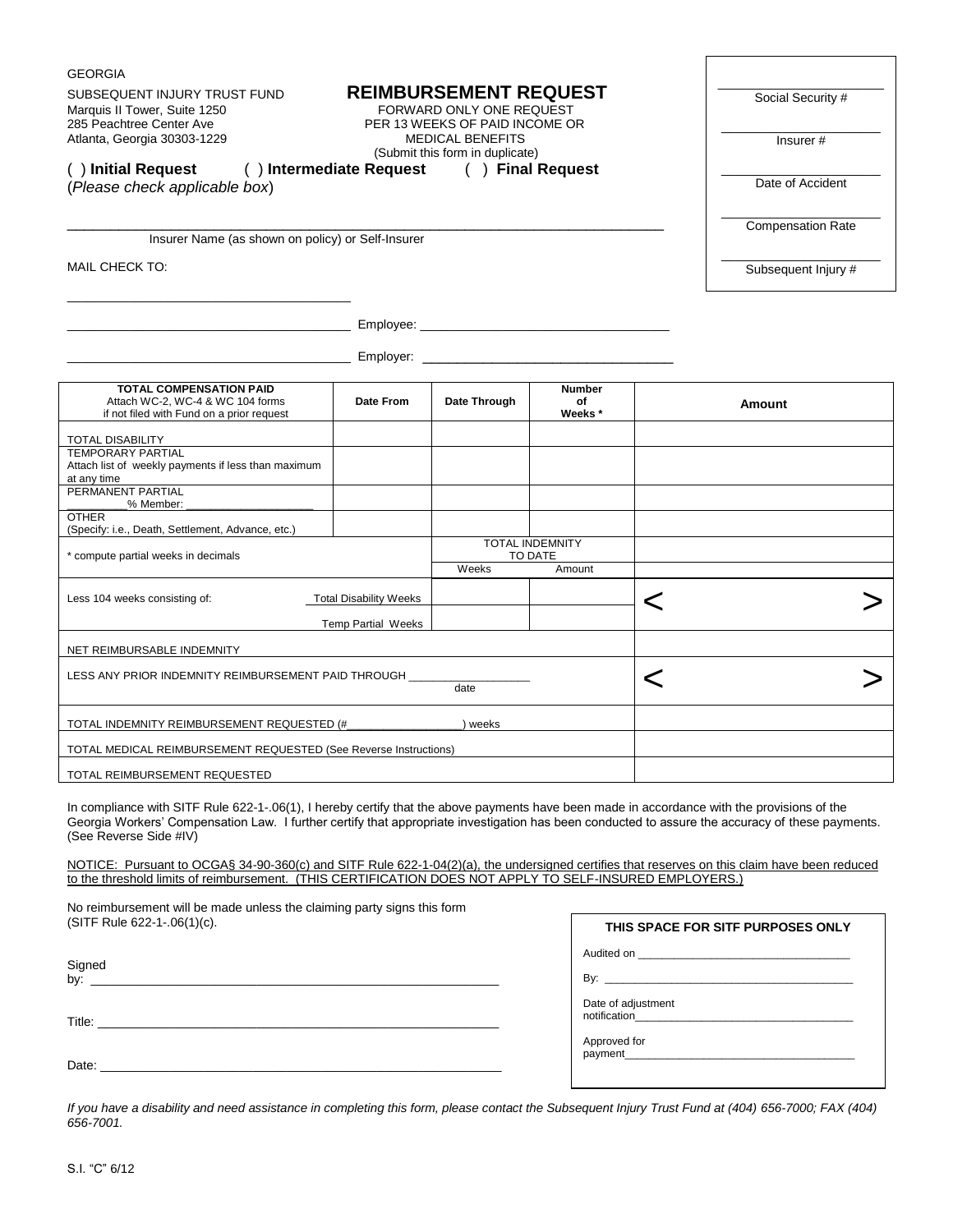| SUBSEQUENT INJURY TRUST FUND<br>Marquis II Tower, Suite 1250<br>285 Peachtree Center Ave<br>Atlanta, Georgia 30303-1229<br>() Initial Request<br>() Intermediate Request () Final Request                                                                                                                                 |                                                            | Social Security #<br>Insurer#<br>Date of Accident |                               |   |                                   |
|---------------------------------------------------------------------------------------------------------------------------------------------------------------------------------------------------------------------------------------------------------------------------------------------------------------------------|------------------------------------------------------------|---------------------------------------------------|-------------------------------|---|-----------------------------------|
| (Please check applicable box)                                                                                                                                                                                                                                                                                             |                                                            |                                                   |                               |   |                                   |
| Insurer Name (as shown on policy) or Self-Insurer                                                                                                                                                                                                                                                                         |                                                            | <b>Compensation Rate</b>                          |                               |   |                                   |
| MAIL CHECK TO:                                                                                                                                                                                                                                                                                                            |                                                            |                                                   |                               |   | Subsequent Injury #               |
| the control of the control of the control of the control of the control of                                                                                                                                                                                                                                                |                                                            |                                                   |                               |   |                                   |
|                                                                                                                                                                                                                                                                                                                           |                                                            |                                                   |                               |   |                                   |
| <b>TOTAL COMPENSATION PAID</b><br>Attach WC-2, WC-4 & WC 104 forms<br>if not filed with Fund on a prior request                                                                                                                                                                                                           | Date From                                                  | Date Through                                      | <b>Number</b><br>of<br>Weeks* |   | Amount                            |
| TOTAL DISABILITY<br><b>TEMPORARY PARTIAL</b><br>Attach list of weekly payments if less than maximum<br>at any time                                                                                                                                                                                                        |                                                            |                                                   |                               |   |                                   |
| PERMANENT PARTIAL<br>% Member:<br><b>OTHER</b>                                                                                                                                                                                                                                                                            |                                                            |                                                   |                               |   |                                   |
| (Specify: i.e., Death, Settlement, Advance, etc.)                                                                                                                                                                                                                                                                         |                                                            | <b>TOTAL INDEMNITY</b>                            |                               |   |                                   |
| * compute partial weeks in decimals                                                                                                                                                                                                                                                                                       |                                                            | Weeks                                             | TO DATE<br>Amount             |   |                                   |
| Less 104 weeks consisting of:                                                                                                                                                                                                                                                                                             | <b>Total Disability Weeks</b><br><b>Temp Partial Weeks</b> |                                                   |                               | < |                                   |
| NET REIMBURSABLE INDEMNITY                                                                                                                                                                                                                                                                                                |                                                            |                                                   |                               |   |                                   |
| LESS ANY PRIOR INDEMNITY REIMBURSEMENT PAID THROUGH ___<br>date                                                                                                                                                                                                                                                           |                                                            |                                                   |                               | < |                                   |
| TOTAL INDEMNITY REIMBURSEMENT REQUESTED (#_                                                                                                                                                                                                                                                                               |                                                            | ) weeks                                           |                               |   |                                   |
| TOTAL MEDICAL REIMBURSEMENT REQUESTED (See Reverse Instructions)                                                                                                                                                                                                                                                          |                                                            |                                                   |                               |   |                                   |
| TOTAL REIMBURSEMENT REQUESTED                                                                                                                                                                                                                                                                                             |                                                            |                                                   |                               |   |                                   |
| In compliance with SITF Rule 622-1-.06(1), I hereby certify that the above payments have been made in accordance with the provisions of the<br>Georgia Workers' Compensation Law. I further certify that appropriate investigation has been conducted to assure the accuracy of these payments.<br>(See Reverse Side #IV) |                                                            |                                                   |                               |   |                                   |
| NOTICE: Pursuant to OCGA§ 34-90-360(c) and SITF Rule 622-1-04(2)(a), the undersigned certifies that reserves on this claim have been reduced<br>to the threshold limits of reimbursement. (THIS CERTIFICATION DOES NOT APPLY TO SELF-INSURED EMPLOYERS.)                                                                  |                                                            |                                                   |                               |   |                                   |
| No reimbursement will be made unless the claiming party signs this form<br>(SITF Rule 622-1-.06(1)(c).                                                                                                                                                                                                                    |                                                            |                                                   |                               |   | THIS SPACE FOR SITF PURPOSES ONLY |
| Signed                                                                                                                                                                                                                                                                                                                    |                                                            |                                                   |                               |   |                                   |
|                                                                                                                                                                                                                                                                                                                           |                                                            |                                                   | Date of adjustment            |   | $\mathsf{By:}$                    |
|                                                                                                                                                                                                                                                                                                                           |                                                            |                                                   |                               |   |                                   |
|                                                                                                                                                                                                                                                                                                                           |                                                            |                                                   | Approved for                  |   |                                   |
|                                                                                                                                                                                                                                                                                                                           |                                                            |                                                   |                               |   |                                   |

*If you have a disability and need assistance in completing this form, please contact the Subsequent Injury Trust Fund at (404) 656-7000; FAX (404) 656-7001.*

GEORGIA